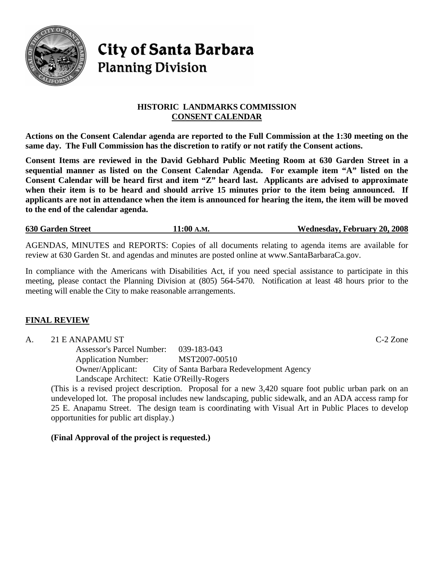

# **City of Santa Barbara Planning Division**

# **HISTORIC LANDMARKS COMMISSION CONSENT CALENDAR**

**Actions on the Consent Calendar agenda are reported to the Full Commission at the 1:30 meeting on the same day. The Full Commission has the discretion to ratify or not ratify the Consent actions.** 

**Consent Items are reviewed in the David Gebhard Public Meeting Room at 630 Garden Street in a sequential manner as listed on the Consent Calendar Agenda. For example item "A" listed on the Consent Calendar will be heard first and item "Z" heard last. Applicants are advised to approximate when their item is to be heard and should arrive 15 minutes prior to the item being announced. If applicants are not in attendance when the item is announced for hearing the item, the item will be moved to the end of the calendar agenda.** 

**630 Garden Street 11:00 A.M. Wednesday, February 20, 2008**

AGENDAS, MINUTES and REPORTS: Copies of all documents relating to agenda items are available for review at 630 Garden St. and agendas and minutes are posted online at www.SantaBarbaraCa.gov.

In compliance with the Americans with Disabilities Act, if you need special assistance to participate in this meeting, please contact the Planning Division at (805) 564-5470. Notification at least 48 hours prior to the meeting will enable the City to make reasonable arrangements.

# **FINAL REVIEW**

A. 21 E ANAPAMU ST C-2 Zone

 Assessor's Parcel Number: 039-183-043 Application Number: MST2007-00510 Owner/Applicant: City of Santa Barbara Redevelopment Agency Landscape Architect: Katie O'Reilly-Rogers

(This is a revised project description. Proposal for a new 3,420 square foot public urban park on an undeveloped lot. The proposal includes new landscaping, public sidewalk, and an ADA access ramp for 25 E. Anapamu Street. The design team is coordinating with Visual Art in Public Places to develop opportunities for public art display.)

**(Final Approval of the project is requested.)**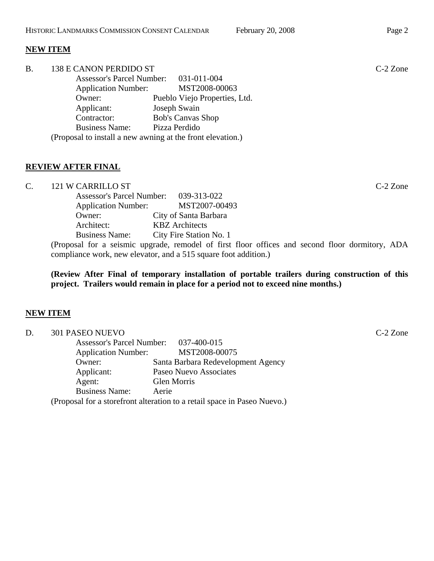#### **NEW ITEM**

| <b>B.</b> | 138 E CANON PERDIDO ST           |                                                            | $C-2$ Zone |
|-----------|----------------------------------|------------------------------------------------------------|------------|
|           | <b>Assessor's Parcel Number:</b> | 031-011-004                                                |            |
|           | <b>Application Number:</b>       | MST2008-00063                                              |            |
|           | Owner:                           | Pueblo Viejo Properties, Ltd.                              |            |
|           | Applicant:                       | Joseph Swain                                               |            |
|           | Contractor:                      | <b>Bob's Canvas Shop</b>                                   |            |
|           | <b>Business Name:</b>            | Pizza Perdido                                              |            |
|           |                                  | (Proposal to install a new awning at the front elevation.) |            |

#### **REVIEW AFTER FINAL**

C. 121 W CARRILLO ST C-2 Zone

| <b>Assessor's Parcel Number:</b>                                             | 039-313-022             |
|------------------------------------------------------------------------------|-------------------------|
| <b>Application Number:</b>                                                   | MST2007-00493           |
| Owner:                                                                       | City of Santa Barbara   |
| Architect:                                                                   | <b>KBZ</b> Architects   |
| <b>Business Name:</b>                                                        | City Fire Station No. 1 |
| $(D_{\text{max}} - 1)$ for a set of a second product $1 \cdot 1$ of fixed fl |                         |

(Proposal for a seismic upgrade, remodel of first floor offices and second floor dormitory, ADA compliance work, new elevator, and a 515 square foot addition.)

**(Review After Final of temporary installation of portable trailers during construction of this project. Trailers would remain in place for a period not to exceed nine months.)**

#### **NEW ITEM**

| D. | 301 PASEO NUEVO            |                                                                          | C-2 Zone |
|----|----------------------------|--------------------------------------------------------------------------|----------|
|    |                            | Assessor's Parcel Number: 037-400-015                                    |          |
|    | <b>Application Number:</b> | MST2008-00075                                                            |          |
|    | Owner:                     | Santa Barbara Redevelopment Agency                                       |          |
|    | Applicant:                 | Paseo Nuevo Associates                                                   |          |
|    | Agent:                     | Glen Morris                                                              |          |
|    | <b>Business Name:</b>      | Aerie                                                                    |          |
|    |                            | (Proposal for a storefront alteration to a retail space in Paseo Nuevo.) |          |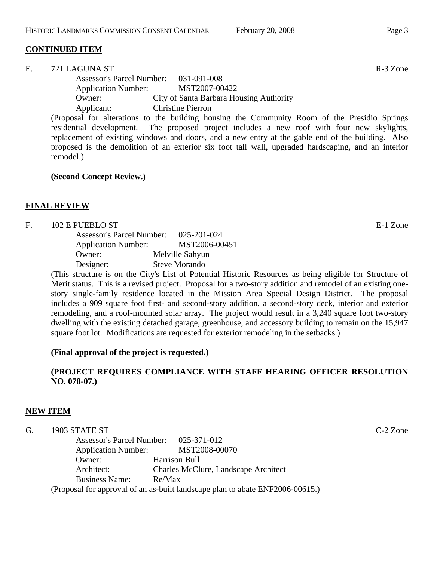## **CONTINUED ITEM**

| E. | 721 LAGUNA ST              |                                       |                                         |  |  | R-3 Zone                                  |  |
|----|----------------------------|---------------------------------------|-----------------------------------------|--|--|-------------------------------------------|--|
|    |                            | Assessor's Parcel Number: 031-091-008 |                                         |  |  |                                           |  |
|    | <b>Application Number:</b> |                                       | MST2007-00422                           |  |  |                                           |  |
|    | Owner:                     |                                       | City of Santa Barbara Housing Authority |  |  |                                           |  |
|    | Applicant:                 |                                       | <b>Christine Pierron</b>                |  |  |                                           |  |
|    | $\sqrt{ }$                 |                                       |                                         |  |  | $\sim$ $\sim$ $\sim$ $\sim$ $\sim$ $\sim$ |  |

(Proposal for alterations to the building housing the Community Room of the Presidio Springs residential development. The proposed project includes a new roof with four new skylights, replacement of existing windows and doors, and a new entry at the gable end of the building. Also proposed is the demolition of an exterior six foot tall wall, upgraded hardscaping, and an interior remodel.)

#### **(Second Concept Review.)**

#### **FINAL REVIEW**

#### F. 102 E PUEBLO ST E-1 Zone

| <b>Assessor's Parcel Number:</b> | 025-201-024          |
|----------------------------------|----------------------|
| <b>Application Number:</b>       | MST2006-00451        |
| Owner:                           | Melville Sahyun      |
| Designer:                        | <b>Steve Morando</b> |

(This structure is on the City's List of Potential Historic Resources as being eligible for Structure of Merit status. This is a revised project. Proposal for a two-story addition and remodel of an existing onestory single-family residence located in the Mission Area Special Design District. The proposal includes a 909 square foot first- and second-story addition, a second-story deck, interior and exterior remodeling, and a roof-mounted solar array. The project would result in a 3,240 square foot two-story dwelling with the existing detached garage, greenhouse, and accessory building to remain on the 15,947 square foot lot. Modifications are requested for exterior remodeling in the setbacks.)

#### **(Final approval of the project is requested.)**

# **(PROJECT REQUIRES COMPLIANCE WITH STAFF HEARING OFFICER RESOLUTION NO. 078-07.)**

#### **NEW ITEM**

| G. | 1903 STATE ST                                                                 |                                             | $C-2$ Zone |
|----|-------------------------------------------------------------------------------|---------------------------------------------|------------|
|    |                                                                               | Assessor's Parcel Number: 025-371-012       |            |
|    | <b>Application Number:</b>                                                    | MST2008-00070                               |            |
|    | Owner:                                                                        | Harrison Bull                               |            |
|    | Architect:                                                                    | <b>Charles McClure, Landscape Architect</b> |            |
|    | <b>Business Name:</b>                                                         | Re/Max                                      |            |
|    | (Proposal for approval of an as-built landscape plan to abate ENF2006-00615.) |                                             |            |